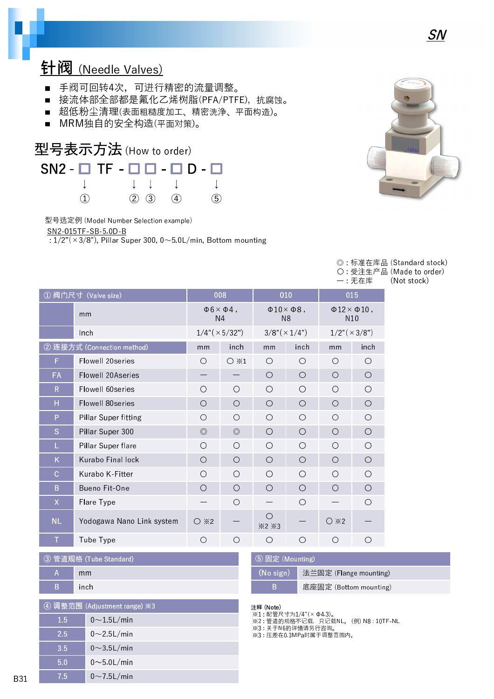# 针阀 (Needle Valves)

- 手阀可回转4次,可进行精密的流量调整。
- 接流体部全部都是氟化乙烯树脂(PFA/PTFE), 抗腐蚀。
- 超低粉尘清理(表面粗糙度加工、精密洗浄、平面构造)。
- MRM独自的安全构造(平面对策)。



型号选定例 (Model Number Selection example)

SN2-015TF-SB-5.0D-B

 $\frac{1}{2}$ : 1/2"(×3/8"), Pillar Super 300, 0~5.0L/min, Bottom mounting



|       | ◎ : 标准在库品 (Standard stock) |
|-------|----------------------------|
|       | ○ 受注生产品 (Made to order)    |
| 一:无在库 | (Not stock)                |

|              |                            |                                               |                |                                                |                       |                                                  | ・ノレルナ                    |  |
|--------------|----------------------------|-----------------------------------------------|----------------|------------------------------------------------|-----------------------|--------------------------------------------------|--------------------------|--|
|              | ① 阀门尺寸 (Valve size)        | 008                                           |                | 010                                            |                       | 015                                              |                          |  |
| mm           |                            | $\Phi$ 6 $\times$ $\Phi$ 4,<br>N <sub>4</sub> |                | $\Phi$ 10 $\times$ $\Phi$ 8,<br>N <sub>8</sub> |                       | $\Phi$ 12 $\times$ $\Phi$ 10,<br>N <sub>10</sub> |                          |  |
|              | Inch                       | $1/4$ " ( $\times$ 5/32")                     |                |                                                | $3/8'' (\times 1/4")$ |                                                  | $1/2$ " ( $\times$ 3/8") |  |
|              | ② 连接方式 (Connection method) | mm                                            | inch           | mm                                             | inch                  | mm                                               | inch                     |  |
| F            | Flowell 20series           | $\bigcirc$                                    | $\bigcirc$ *1  | Ω                                              | O                     | Ω                                                | O                        |  |
| <b>FA</b>    | Flowell 20Aseries          |                                               |                | ∩                                              | $\bigcirc$            | O                                                | $\bigcirc$               |  |
| $\mathsf{R}$ | Flowell 60series           | O                                             | $\circ$        | Ω                                              | Ω                     | Ω                                                | O                        |  |
| Н            | Flowell 80series           | $\bigcirc$                                    | $\bigcirc$     | O                                              | $\bigcirc$            | O                                                | $\bigcirc$               |  |
| P            | Pillar Super fitting       | $\bigcirc$                                    | $\circ$        | Ω                                              | O                     | Ω                                                | $\bigcirc$               |  |
| S            | Pillar Super 300           | $\circledcirc$                                | $\circledcirc$ | O                                              | O                     | O                                                | $\bigcirc$               |  |
| L            | Pillar Super flare         | $\bigcirc$                                    | $\bigcirc$     | ∩                                              | O                     | ∩                                                | O                        |  |
| K            | Kurabo Final lock          | $\bigcirc$                                    | $\bigcirc$     | Ω                                              | O                     | O                                                | $\bigcirc$               |  |
| C            | Kurabo K-Fitter            | O                                             | $\circ$        | ◯                                              | O                     | ◯                                                | О                        |  |
| B            | Bueno Fit-One              | $\bigcirc$                                    | $\bigcirc$     | ∩                                              | O                     | O                                                | O                        |  |
| X            | Flare Type                 |                                               | $\bigcirc$     |                                                | O                     |                                                  | О                        |  |
| <b>NL</b>    | Yodogawa Nano Link system  | $\bigcirc$ $\divideontimes$ 2                 |                | O<br>×2×3                                      |                       | $\bigcirc$ $*2$                                  |                          |  |
| $\top$       | Tube Type                  | Ω                                             | $\bigcirc$     | Ω                                              | O                     | ∩                                                | $\left( \right)$         |  |

| 3 管道规格 (Tube Standard) |       |  |  |
|------------------------|-------|--|--|
| А                      | mm    |  |  |
| B                      | inch. |  |  |
|                        |       |  |  |

| ④ 调整范围 (Adjustment range) ※3 |                    |  |  |
|------------------------------|--------------------|--|--|
| 1.5                          | $0 \sim 1.5$ L/min |  |  |
| 2.5                          | $0\sim$ 25L/min    |  |  |
| 3.5                          | $0 \sim 3.5$ L/min |  |  |
| 5.0                          | $0\sim$ 5 0L/min   |  |  |
| 7.5                          | $0\sim$ 75L/min    |  |  |

| 5 固定 (Mounting) |                                    |  |  |  |
|-----------------|------------------------------------|--|--|--|
|                 | (No sign)   法兰固定 (Flange mounting) |  |  |  |
| B               | 底座固定 (Bottom mounting)             |  |  |  |

#### 注释 (Note)

※1 : 配管尺寸为1/4"(×Φ4.3)。

※2 : 管道的规格不记载,只记载NL。 (例) N8 : 10TF-NL ※3 : 关于N6的详情请另行咨询。

※3 : 压差在0.3MPa时属于调整范围内。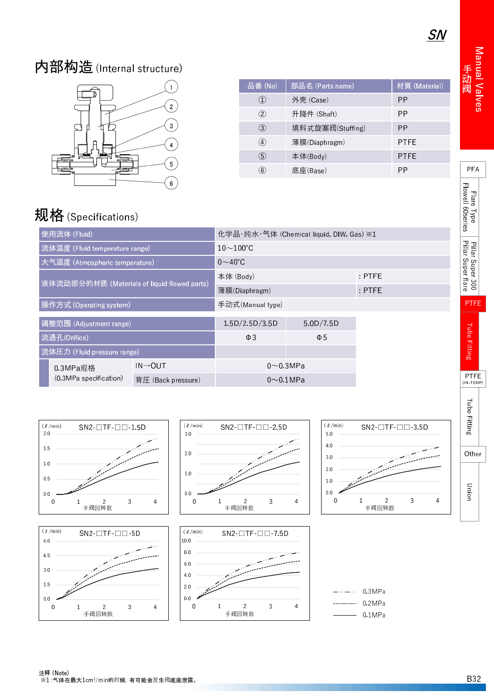Manual Valve 手 阀

PFA

- lare I vo F low e l l 6 0 s e r ie s

l Pillar Super 30 l Pillar Super tar

PTFE

i ube Fittin

PTFE (HI-TEMP)

# 内部构造(Internal structure)



| 品番(No)              | 部品名 (Parts name) | 材質 (Material) |
|---------------------|------------------|---------------|
| $\scriptstyle{(1)}$ | 外壳 (Case)        | РP            |
| (2)                 | 升降件 (Shaft)      | РP            |
| (3)                 | 填料式旋塞阀(Stuffing) | РP            |
| $\left( 4\right)$   | 薄膜(Diaphragm)    | <b>PTFE</b>   |
| (5)                 | 本体(Body)         | <b>PTFE</b>   |
| (6)                 | 底座(Base)         | РP            |

# 规格 (Specifications)

|                                              | 使用流体 (Fluid)                   |                      | 化学品・纯水・气体 (Chemical liquid, DIW, Gas) ※1 |                |  |  |  |
|----------------------------------------------|--------------------------------|----------------------|------------------------------------------|----------------|--|--|--|
|                                              | 流体温度 (Fluid temperature range) |                      | $10\sim100^{\circ}$ C                    |                |  |  |  |
|                                              | 大气温度 (Atmospheric temperature) |                      | $0\sim$ 40°C                             |                |  |  |  |
| 液体流动部分的材质 (Materials of liquid flowed parts) |                                | 本体 (Body)            |                                          | $:$ PTFE       |  |  |  |
|                                              |                                | 薄膜(Diaphragm)        | $:$ PTFE                                 |                |  |  |  |
| 操作方式 (Operating system)                      |                                | 手动式(Manual type)     |                                          |                |  |  |  |
| 调整范围 (Adjustment range)                      |                                | 1.5D/2.5D/3.5D       | 5.0D/7.5D                                |                |  |  |  |
| 流通孔(Orifice)                                 |                                | $\Phi$ 3             | $\Phi$ 5                                 |                |  |  |  |
| 流体圧力 (Fluid pressure range)                  |                                |                      |                                          |                |  |  |  |
|                                              | 0.3MPa规格                       | $IN \rightarrow OUT$ |                                          | $0\sim$ 0.3MPa |  |  |  |
|                                              | (0.3MPa specification)         | 背圧 (Back pressure)   | $0\sim 0.1$ MPa                          |                |  |  |  |

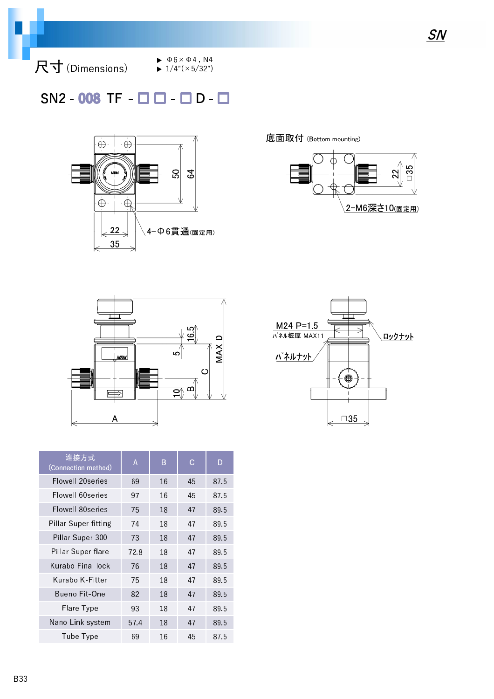尺寸 (Dimensions)

 $\blacktriangleright$   $\Phi$ 6  $\times$   $\Phi$ 4, N4  $\blacktriangleright$  1/4"( $\times$ 5/32")

### $SN2 - 008$  TF -  $\Box$   $\Box$  -  $\Box$  D -  $\Box$



底面取付 (Bottom mounting)







| 连接方式<br>(Connection method) | A    | B  | C  | D    |
|-----------------------------|------|----|----|------|
| Flowell 20series            | 69   | 16 | 45 | 87.5 |
| Flowell 60series            | 97   | 16 | 45 | 87.5 |
| Flowell 80series            | 75   | 18 | 47 | 89.5 |
| Pillar Super fitting        | 74   | 18 | 47 | 89.5 |
| Pillar Super 300            | 73   | 18 | 47 | 89.5 |
| Pillar Super flare          | 72.8 | 18 | 47 | 89.5 |
| Kurabo Final lock           | 76   | 18 | 47 | 89.5 |
| Kurabo K-Fitter             | 75   | 18 | 47 | 89.5 |
| Bueno Fit-One               | 82   | 18 | 47 | 89.5 |
| Flare Type                  | 93   | 18 | 47 | 89.5 |
| Nano Link system            | 57.4 | 18 | 47 | 89.5 |
| Tube Type                   | 69   | 16 | 45 | 87.5 |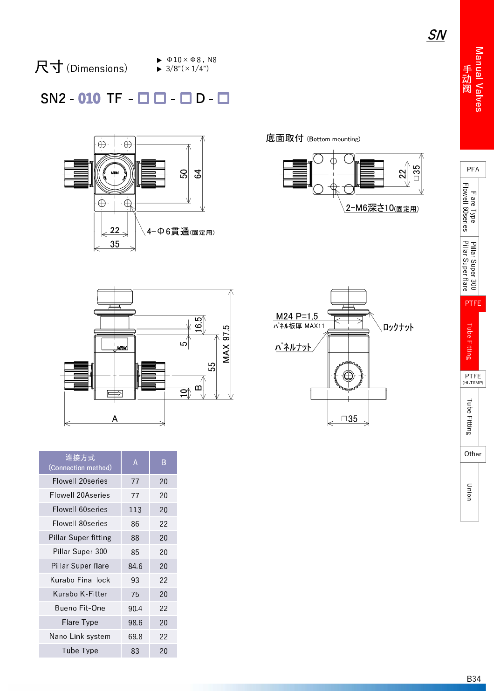SN

# 尺 寸 (Dimensions)

 $\blacktriangleright$   $\Phi$ 10  $\times$   $\Phi$ 8, N8  $\blacktriangleright$  3/8"( $\times$ 1/4")

#### $SN2 - 010$  TF  $\Box$   $\Box$   $\Box$   $D$  -



底面取付 (Bottom mounting)





| 1               | _<br>55<br>$\mathbf{a}$<br>$\subset$ |
|-----------------|--------------------------------------|
| B               |                                      |
| 20              |                                      |
| 20              |                                      |
| 20              |                                      |
| $\overline{22}$ |                                      |





| 辻抜刀丸<br>(Connection method) | Α    | B  |
|-----------------------------|------|----|
| Flowell 20series            | 77   | 20 |
| Flowell 20Aseries           | 77   | 20 |
| Flowell 60series            | 113  | 20 |
| Flowell 80series            | 86   | 22 |
| Pillar Super fitting        | 88   | 20 |
| Pillar Super 300            | 85   | 20 |
| Pillar Super flare          | 84.6 | 20 |
| Kurabo Final lock           | 93   | 22 |
| Kurabo K-Fitter             | 75   | 20 |
| Bueno Fit-One               | 90.4 | 22 |
| Flare Type                  | 98.6 | 20 |
| Nano Link system            | 69.8 | 22 |
| Tube Type                   | 83   | 20 |

连 接 方 式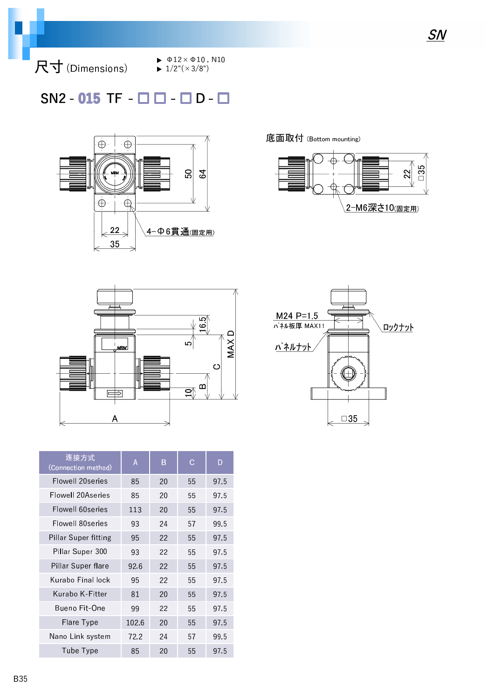尺寸 (Dimensions)

 $\blacktriangleright$   $\Phi$ 12× $\Phi$ 10, N10

 $\blacktriangleright$  1/2"( $\times$ 3/8")

## $SN2 - 015$  TF  $\Box$   $\Box$   $\Box$   $D - \Box$



底面取付 (Bottom mounting)







| 连接方式<br>(Connection method) | Α     | B  | С  | D    |
|-----------------------------|-------|----|----|------|
| Flowell 20series            | 85    | 20 | 55 | 975  |
| Flowell 20Aseries           | 85    | 20 | 55 | 975  |
| Flowell 60series            | 113   | 20 | 55 | 975  |
| Flowell 80series            | 93    | 24 | 57 | 99.5 |
| Pillar Super fitting        | 95    | 22 | 55 | 975  |
| Pillar Super 300            | 93    | 22 | 55 | 97.5 |
| Pillar Super flare          | 926   | 22 | 55 | 975  |
| Kurabo Final lock           | 95    | 22 | 55 | 975  |
| Kurabo K-Fitter             | 81    | 20 | 55 | 97.5 |
| Bueno Fit-One               | 99    | 22 | 55 | 975  |
| Flare Type                  | 102.6 | 20 | 55 | 975  |
| Nano Link system            | 72.2  | 24 | 57 | 995  |
| Tube Type                   | 85    | 20 | 55 | 97.5 |